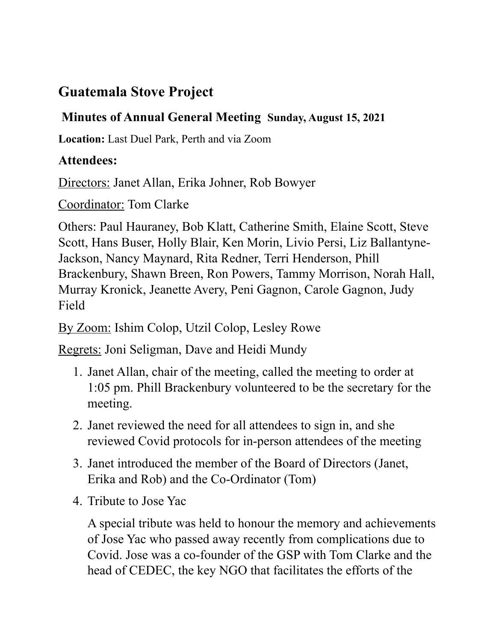## **Guatemala Stove Project**

## **Minutes of Annual General Meeting Sunday, August 15, 2021**

**Location:** Last Duel Park, Perth and via Zoom

## **Attendees:**

Directors: Janet Allan, Erika Johner, Rob Bowyer

Coordinator: Tom Clarke

Others: Paul Hauraney, Bob Klatt, Catherine Smith, Elaine Scott, Steve Scott, Hans Buser, Holly Blair, Ken Morin, Livio Persi, Liz Ballantyne-Jackson, Nancy Maynard, Rita Redner, Terri Henderson, Phill Brackenbury, Shawn Breen, Ron Powers, Tammy Morrison, Norah Hall, Murray Kronick, Jeanette Avery, Peni Gagnon, Carole Gagnon, Judy Field

By Zoom: Ishim Colop, Utzil Colop, Lesley Rowe

Regrets: Joni Seligman, Dave and Heidi Mundy

- 1. Janet Allan, chair of the meeting, called the meeting to order at 1:05 pm. Phill Brackenbury volunteered to be the secretary for the meeting.
- 2. Janet reviewed the need for all attendees to sign in, and she reviewed Covid protocols for in-person attendees of the meeting
- 3. Janet introduced the member of the Board of Directors (Janet, Erika and Rob) and the Co-Ordinator (Tom)
- 4. Tribute to Jose Yac

A special tribute was held to honour the memory and achievements of Jose Yac who passed away recently from complications due to Covid. Jose was a co-founder of the GSP with Tom Clarke and the head of CEDEC, the key NGO that facilitates the efforts of the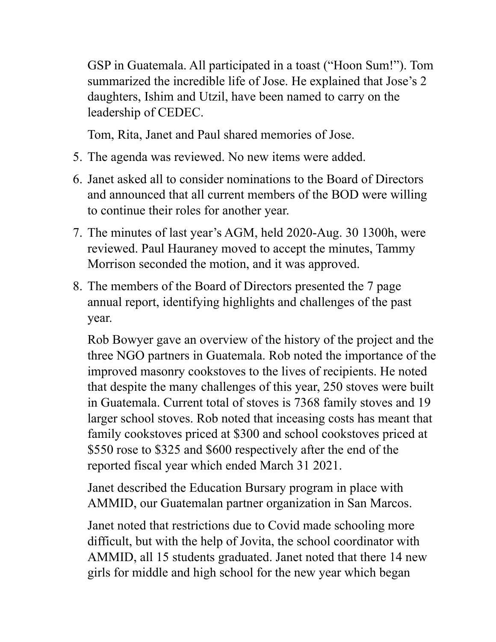GSP in Guatemala. All participated in a toast ("Hoon Sum!"). Tom summarized the incredible life of Jose. He explained that Jose's 2 daughters, Ishim and Utzil, have been named to carry on the leadership of CEDEC.

Tom, Rita, Janet and Paul shared memories of Jose.

- 5. The agenda was reviewed. No new items were added.
- 6. Janet asked all to consider nominations to the Board of Directors and announced that all current members of the BOD were willing to continue their roles for another year.
- 7. The minutes of last year's AGM, held 2020-Aug. 30 1300h, were reviewed. Paul Hauraney moved to accept the minutes, Tammy Morrison seconded the motion, and it was approved.
- 8. The members of the Board of Directors presented the 7 page annual report, identifying highlights and challenges of the past year.

Rob Bowyer gave an overview of the history of the project and the three NGO partners in Guatemala. Rob noted the importance of the improved masonry cookstoves to the lives of recipients. He noted that despite the many challenges of this year, 250 stoves were built in Guatemala. Current total of stoves is 7368 family stoves and 19 larger school stoves. Rob noted that inceasing costs has meant that family cookstoves priced at \$300 and school cookstoves priced at \$550 rose to \$325 and \$600 respectively after the end of the reported fiscal year which ended March 31 2021.

Janet described the Education Bursary program in place with AMMID, our Guatemalan partner organization in San Marcos.

Janet noted that restrictions due to Covid made schooling more difficult, but with the help of Jovita, the school coordinator with AMMID, all 15 students graduated. Janet noted that there 14 new girls for middle and high school for the new year which began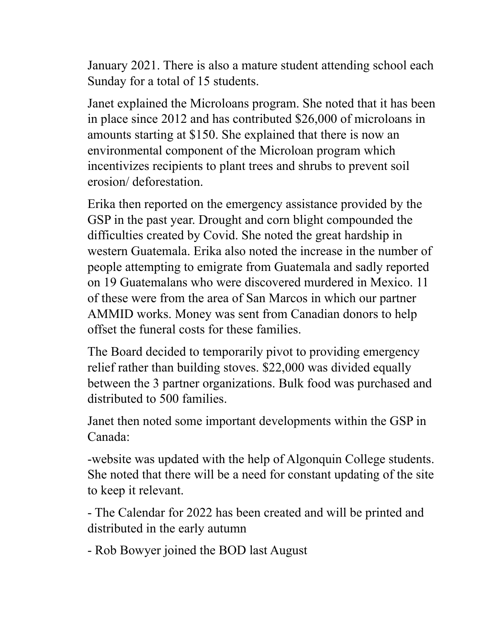January 2021. There is also a mature student attending school each Sunday for a total of 15 students.

Janet explained the Microloans program. She noted that it has been in place since 2012 and has contributed \$26,000 of microloans in amounts starting at \$150. She explained that there is now an environmental component of the Microloan program which incentivizes recipients to plant trees and shrubs to prevent soil erosion/ deforestation.

Erika then reported on the emergency assistance provided by the GSP in the past year. Drought and corn blight compounded the difficulties created by Covid. She noted the great hardship in western Guatemala. Erika also noted the increase in the number of people attempting to emigrate from Guatemala and sadly reported on 19 Guatemalans who were discovered murdered in Mexico. 11 of these were from the area of San Marcos in which our partner AMMID works. Money was sent from Canadian donors to help offset the funeral costs for these families.

The Board decided to temporarily pivot to providing emergency relief rather than building stoves. \$22,000 was divided equally between the 3 partner organizations. Bulk food was purchased and distributed to 500 families.

Janet then noted some important developments within the GSP in Canada:

-website was updated with the help of Algonquin College students. She noted that there will be a need for constant updating of the site to keep it relevant.

- The Calendar for 2022 has been created and will be printed and distributed in the early autumn

- Rob Bowyer joined the BOD last August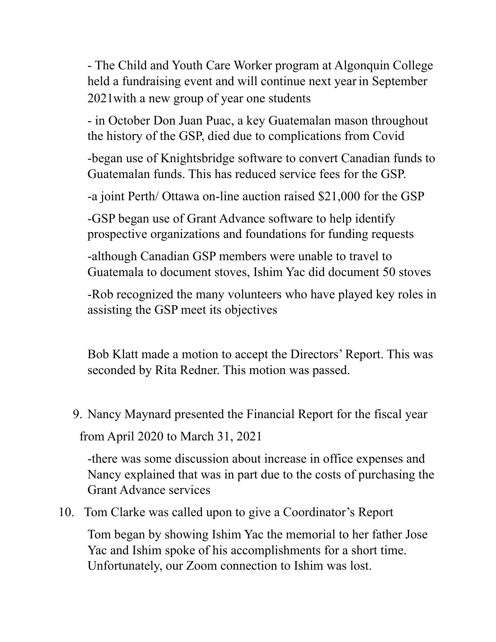- The Child and Youth Care Worker program at Algonquin College held a fundraising event and will continue next yearin September 2021with a new group of year one students

- in October Don Juan Puac, a key Guatemalan mason throughout the history of the GSP, died due to complications from Covid

-began use of Knightsbridge software to convert Canadian funds to Guatemalan funds. This has reduced service fees for the GSP.

-a joint Perth/ Ottawa on-line auction raised \$21,000 for the GSP

-GSP began use of Grant Advance software to help identify prospective organizations and foundations for funding requests

-although Canadian GSP members were unable to travel to Guatemala to document stoves, Ishim Yac did document 50 stoves

-Rob recognized the many volunteers who have played key roles in assisting the GSP meet its objectives

Bob Klatt made a motion to accept the Directors' Report. This was seconded by Rita Redner. This motion was passed.

9. Nancy Maynard presented the Financial Report for the fiscal year from April 2020 to March 31, 2021

-there was some discussion about increase in office expenses and Nancy explained that was in part due to the costs of purchasing the Grant Advance services

10. Tom Clarke was called upon to give a Coordinator's Report

Tom began by showing Ishim Yac the memorial to her father Jose Yac and Ishim spoke of his accomplishments for a short time. Unfortunately, our Zoom connection to Ishim was lost.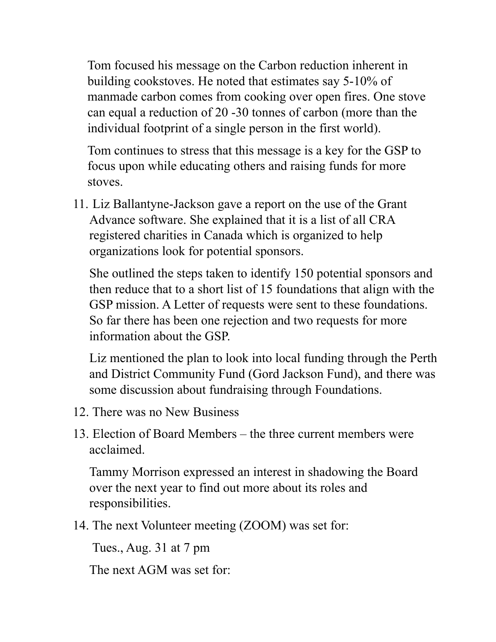Tom focused his message on the Carbon reduction inherent in building cookstoves. He noted that estimates say 5-10% of manmade carbon comes from cooking over open fires. One stove can equal a reduction of 20 -30 tonnes of carbon (more than the individual footprint of a single person in the first world).

Tom continues to stress that this message is a key for the GSP to focus upon while educating others and raising funds for more stoves.

11. Liz Ballantyne-Jackson gave a report on the use of the Grant Advance software. She explained that it is a list of all CRA registered charities in Canada which is organized to help organizations look for potential sponsors.

She outlined the steps taken to identify 150 potential sponsors and then reduce that to a short list of 15 foundations that align with the GSP mission. A Letter of requests were sent to these foundations. So far there has been one rejection and two requests for more information about the GSP.

Liz mentioned the plan to look into local funding through the Perth and District Community Fund (Gord Jackson Fund), and there was some discussion about fundraising through Foundations.

- 12. There was no New Business
- 13. Election of Board Members the three current members were acclaimed.

Tammy Morrison expressed an interest in shadowing the Board over the next year to find out more about its roles and responsibilities.

14. The next Volunteer meeting (ZOOM) was set for:

Tues., Aug. 31 at 7 pm

The next AGM was set for: